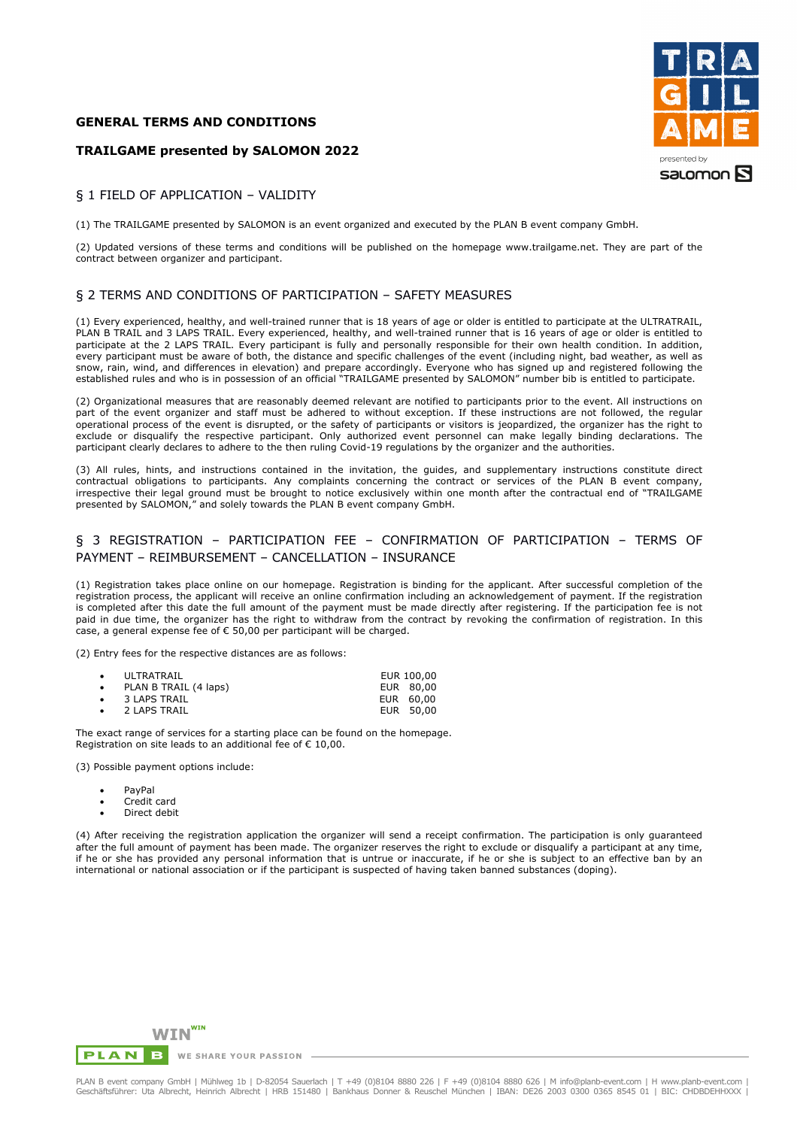### **GENERAL TERMS AND CONDITIONS**

## **TRAILGAME presented by SALOMON 2022**



#### § 1 FIELD OF APPLICATION – VALIDITY

(1) The TRAILGAME presented by SALOMON is an event organized and executed by the PLAN B event company GmbH.

(2) Updated versions of these terms and conditions will be published on the homepage www.trailgame.net. They are part of the contract between organizer and participant.

### § 2 TERMS AND CONDITIONS OF PARTICIPATION – SAFETY MEASURES

(1) Every experienced, healthy, and well-trained runner that is 18 years of age or older is entitled to participate at the ULTRATRAIL, PLAN B TRAIL and 3 LAPS TRAIL. Every experienced, healthy, and well-trained runner that is 16 years of age or older is entitled to participate at the 2 LAPS TRAIL. Every participant is fully and personally responsible for their own health condition. In addition, every participant must be aware of both, the distance and specific challenges of the event (including night, bad weather, as well as snow, rain, wind, and differences in elevation) and prepare accordingly. Everyone who has signed up and registered following the established rules and who is in possession of an official "TRAILGAME presented by SALOMON" number bib is entitled to participate.

(2) Organizational measures that are reasonably deemed relevant are notified to participants prior to the event. All instructions on part of the event organizer and staff must be adhered to without exception. If these instructions are not followed, the regular operational process of the event is disrupted, or the safety of participants or visitors is jeopardized, the organizer has the right to exclude or disqualify the respective participant. Only authorized event personnel can make legally binding declarations. The participant clearly declares to adhere to the then ruling Covid-19 regulations by the organizer and the authorities.

(3) All rules, hints, and instructions contained in the invitation, the guides, and supplementary instructions constitute direct contractual obligations to participants. Any complaints concerning the contract or services of the PLAN B event company, irrespective their legal ground must be brought to notice exclusively within one month after the contractual end of "TRAILGAME presented by SALOMON," and solely towards the PLAN B event company GmbH.

# § 3 REGISTRATION – PARTICIPATION FEE – CONFIRMATION OF PARTICIPATION – TERMS OF PAYMENT – REIMBURSEMENT – CANCELLATION – INSURANCE

(1) Registration takes place online on our homepage. Registration is binding for the applicant. After successful completion of the registration process, the applicant will receive an online confirmation including an acknowledgement of payment. If the registration is completed after this date the full amount of the payment must be made directly after registering. If the participation fee is not paid in due time, the organizer has the right to withdraw from the contract by revoking the confirmation of registration. In this case, a general expense fee of € 50,00 per participant will be charged.

(2) Entry fees for the respective distances are as follows:

| $\bullet$ | ULTRATRAIL             | EUR 100,00 |
|-----------|------------------------|------------|
| $\bullet$ | PLAN B TRAIL (4 laps)  | EUR 80,00  |
|           | $\bullet$ 3 LAPS TRAIL | EUR 60,00  |
|           | • 2 LAPS TRAIL         | EUR 50,00  |

The exact range of services for a starting place can be found on the homepage. Registration on site leads to an additional fee of € 10,00.

(3) Possible payment options include:

- PayPal
- Credit card
- Direct debit

(4) After receiving the registration application the organizer will send a receipt confirmation. The participation is only guaranteed after the full amount of payment has been made. The organizer reserves the right to exclude or disqualify a participant at any time, if he or she has provided any personal information that is untrue or inaccurate, if he or she is subject to an effective ban by an international or national association or if the participant is suspected of having taken banned substances (doping).

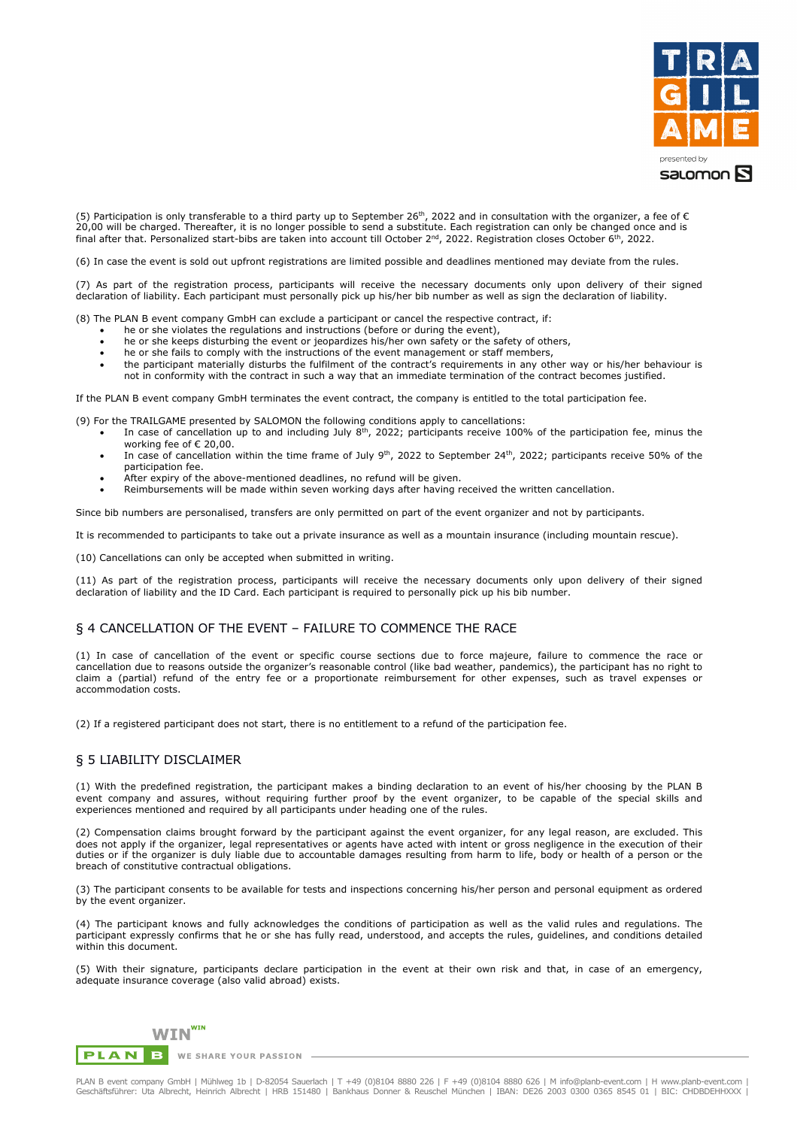

(5) Participation is only transferable to a third party up to September 26<sup>th</sup>, 2022 and in consultation with the organizer, a fee of  $\epsilon$ 20,00 will be charged. Thereafter, it is no longer possible to send a substitute. Each registration can only be changed once and is final after that. Personalized start-bibs are taken into account till October 2<sup>nd</sup>, 2022. Registration closes October 6<sup>th</sup>, 2022.

(6) In case the event is sold out upfront registrations are limited possible and deadlines mentioned may deviate from the rules.

(7) As part of the registration process, participants will receive the necessary documents only upon delivery of their signed declaration of liability. Each participant must personally pick up his/her bib number as well as sign the declaration of liability.

- (8) The PLAN B event company GmbH can exclude a participant or cancel the respective contract, if:
	- he or she violates the regulations and instructions (before or during the event),
	- he or she keeps disturbing the event or jeopardizes his/her own safety or the safety of others,
	- he or she fails to comply with the instructions of the event management or staff members,
	- the participant materially disturbs the fulfilment of the contract's requirements in any other way or his/her behaviour is not in conformity with the contract in such a way that an immediate termination of the contract becomes justified.

If the PLAN B event company GmbH terminates the event contract, the company is entitled to the total participation fee.

- (9) For the TRAILGAME presented by SALOMON the following conditions apply to cancellations:
	- In case of cancellation up to and including July  $8<sup>th</sup>$ , 2022; participants receive 100% of the participation fee, minus the working fee of € 20,00.
	- In case of cancellation within the time frame of July 9<sup>th</sup>, 2022 to September 24<sup>th</sup>, 2022; participants receive 50% of the participation fee.
	- After expiry of the above-mentioned deadlines, no refund will be given.

• Reimbursements will be made within seven working days after having received the written cancellation.

Since bib numbers are personalised, transfers are only permitted on part of the event organizer and not by participants.

It is recommended to participants to take out a private insurance as well as a mountain insurance (including mountain rescue).

(10) Cancellations can only be accepted when submitted in writing.

(11) As part of the registration process, participants will receive the necessary documents only upon delivery of their signed declaration of liability and the ID Card. Each participant is required to personally pick up his bib number.

#### § 4 CANCELLATION OF THE EVENT – FAILURE TO COMMENCE THE RACE

(1) In case of cancellation of the event or specific course sections due to force majeure, failure to commence the race or cancellation due to reasons outside the organizer's reasonable control (like bad weather, pandemics), the participant has no right to claim a (partial) refund of the entry fee or a proportionate reimbursement for other expenses, such as travel expenses or accommodation costs.

(2) If a registered participant does not start, there is no entitlement to a refund of the participation fee.

### § 5 LIABILITY DISCLAIMER

(1) With the predefined registration, the participant makes a binding declaration to an event of his/her choosing by the PLAN B event company and assures, without requiring further proof by the event organizer, to be capable of the special skills and experiences mentioned and required by all participants under heading one of the rules.

(2) Compensation claims brought forward by the participant against the event organizer, for any legal reason, are excluded. This does not apply if the organizer, legal representatives or agents have acted with intent or gross negligence in the execution of their duties or if the organizer is duly liable due to accountable damages resulting from harm to life, body or health of a person or the breach of constitutive contractual obligations.

(3) The participant consents to be available for tests and inspections concerning his/her person and personal equipment as ordered by the event organizer.

(4) The participant knows and fully acknowledges the conditions of participation as well as the valid rules and regulations. The participant expressly confirms that he or she has fully read, understood, and accepts the rules, guidelines, and conditions detailed within this document.

(5) With their signature, participants declare participation in the event at their own risk and that, in case of an emergency, adequate insurance coverage (also valid abroad) exists.



PLAN B event company GmbH | Mühlweg 1b | D-82054 Sauerlach | T +49 (0)8104 8880 226 | F +49 (0)8104 8880 626 | M info@planb-event.com | H www.planb-event.com |<br>Geschäftsführer: Uta Albrecht, Heinrich Albrecht | HRB 151480